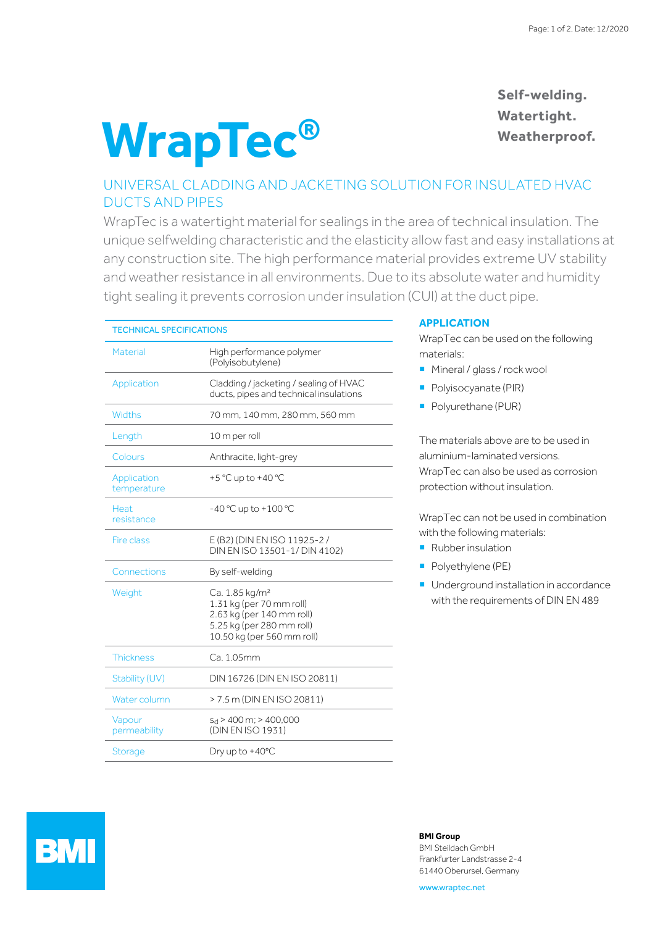# **WrapTec®**

## **Self-welding. Watertight. Weatherproof.**

## UNIVERSAL CLADDING AND JACKETING SOLUTION FOR INSULATED HVAC DUCTS AND PIPES

WrapTec is a watertight material for sealings in the area of technical insulation. The unique selfwelding characteristic and the elasticity allow fast and easy installations at any construction site. The high performance material provides extreme UV stability and weather resistance in all environments. Due to its absolute water and humidity tight sealing it prevents corrosion under insulation (CUI) at the duct pipe.

| <b>TECHNICAL SPECIFICATIONS</b> |                                                                                                                                                |
|---------------------------------|------------------------------------------------------------------------------------------------------------------------------------------------|
| Material                        | High performance polymer<br>(Polyisobutylene)                                                                                                  |
| Application                     | Cladding / jacketing / sealing of HVAC<br>ducts, pipes and technical insulations                                                               |
| Widths                          | 70 mm, 140 mm, 280 mm, 560 mm                                                                                                                  |
| Length                          | 10 m per roll                                                                                                                                  |
| Colours                         | Anthracite, light-grey                                                                                                                         |
| Application<br>temperature      | +5 °C up to +40 °C                                                                                                                             |
| Heat<br>resistance              | $-40 °C$ up to $+100 °C$                                                                                                                       |
| Fire class                      | E (B2) (DIN EN ISO 11925-2 /<br>DIN EN ISO 13501-1/ DIN 4102)                                                                                  |
| Connections                     | By self-welding                                                                                                                                |
| Weight                          | Ca. 1.85 kg/m <sup>2</sup><br>1.31 kg (per 70 mm roll)<br>2.63 kg (per 140 mm roll)<br>5.25 kg (per 280 mm roll)<br>10.50 kg (per 560 mm roll) |
| <b>Thickness</b>                | Ca. 1.05mm                                                                                                                                     |
| Stability (UV)                  | DIN 16726 (DIN EN ISO 20811)                                                                                                                   |
| Water column                    | > 7.5 m (DIN EN ISO 20811)                                                                                                                     |
| Vapour<br>permeability          | $s_d$ > 400 m; > 400,000<br>(DIN EN ISO 1931)                                                                                                  |
| <b>Storage</b>                  | Dry up to $+40^{\circ}$ C                                                                                                                      |

### **APPLICATION**

WrapTec can be used on the following materials:

- **Mineral / glass / rock wool**
- **Polyisocyanate (PIR)**
- Polyurethane (PUR)

The materials above are to be used in aluminium-laminated versions. WrapTec can also be used as corrosion protection without insulation.

WrapTec can not be used in combination with the following materials:

- **Rubber insulation**
- **Polyethylene (PE)**
- Underground installation in accordance with the requirements of DIN EN 489



#### **BMI Group**

BMI Steildach GmbH Frankfurter Landstrasse 2-4 61440 Oberursel, Germany

www.wraptec.net